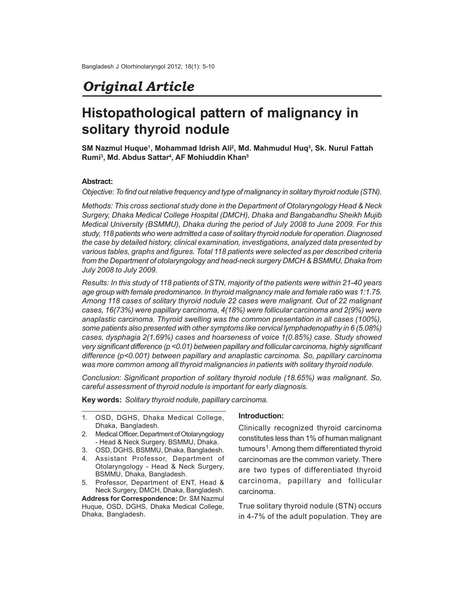# *Original Article*

# **Histopathological pattern of malignancy in solitary thyroid nodule**

**SM Nazmul Huque<sup>1</sup> , Mohammad Idrish Ali<sup>2</sup> , Md. Mahmudul Huq<sup>3</sup> , Sk. Nurul Fattah Rumi<sup>3</sup> , Md. Abdus Sattar<sup>4</sup> , AF Mohiuddin Khan<sup>5</sup>**

### **Abstract:**

*Objective: To find out relative frequency and type of malignancy in solitary thyroid nodule (STN).*

*Methods: This cross sectional study done in the Department of Otolaryngology Head & Neck Surgery, Dhaka Medical College Hospital (DMCH), Dhaka and Bangabandhu Sheikh Mujib Medical University (BSMMU), Dhaka during the period of July 2008 to June 2009. For this study, 118 patients who were admitted a case of solitary thyroid nodule for operation. Diagnosed the case by detailed history, clinical examination, investigations, analyzed data presented by various tables, graphs and figures. Total 118 patients were selected as per described criteria from the Department of otolaryngology and head-neck surgery DMCH & BSMMU, Dhaka from July 2008 to July 2009.*

*Results: In this study of 118 patients of STN, majority of the patients were within 21-40 years age group with female predominance. In thyroid malignancy male and female ratio was 1:1.75. Among 118 cases of solitary thyroid nodule 22 cases were malignant. Out of 22 malignant cases, 16(73%) were papillary carcinoma, 4(18%) were follicular carcinoma and 2(9%) were anaplastic carcinoma. Thyroid swelling was the common presentation in all cases (100%), some patients also presented with other symptoms like cervical lymphadenopathy in 6 (5.08%) cases, dysphagia 2(1.69%) cases and hoarseness of voice 1(0.85%) case. Study showed very significant difference (p <0.01) between papillary and follicular carcinoma, highly significant difference (p<0.001) between papillary and anaplastic carcinoma. So, papillary carcinoma was more common among all thyroid malignancies in patients with solitary thyroid nodule.*

*Conclusion: Significant proportion of solitary thyroid nodule (18.65%) was malignant. So, careful assessment of thyroid nodule is important for early diagnosis.*

**Key words:** *Solitary thyroid nodule, papillary carcinoma.*

- 1. OSD, DGHS, Dhaka Medical College, Dhaka, Bangladesh.
- 2. Medical Officer, Department of Otolaryngology - Head & Neck Surgery, BSMMU, Dhaka.
- 3. OSD, DGHS, BSMMU, Dhaka, Bangladesh.
- 4. Assistant Professor, Department of Otolaryngology - Head & Neck Surgery, BSMMU, Dhaka, Bangladesh.
- 5. Professor, Department of ENT, Head & Neck Surgery, DMCH, Dhaka, Bangladesh.

**Address for Correspondence:** Dr. SM Nazmul Huque, OSD, DGHS, Dhaka Medical College, Dhaka, Bangladesh.

#### **Introduction:**

Clinically recognized thyroid carcinoma constitutes less than 1% of human malignant tumours<sup>1</sup>. Among them differentiated thyroid carcinomas are the common variety. There are two types of differentiated thyroid carcinoma, papillary and follicular carcinoma.

True solitary thyroid nodule (STN) occurs in 4-7% of the adult population. They are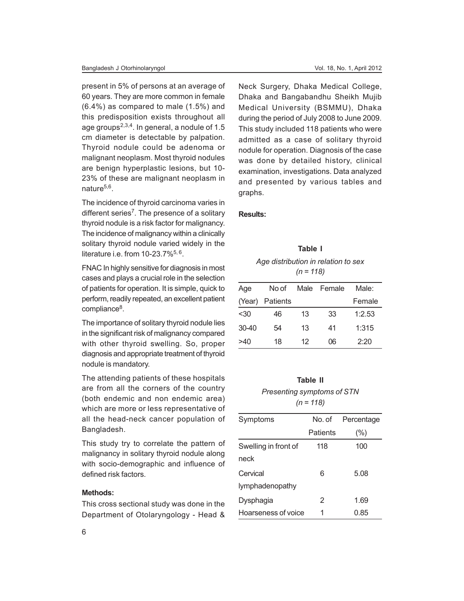present in 5% of persons at an average of 60 years. They are more common in female (6.4%) as compared to male (1.5%) and this predisposition exists throughout all age groups<sup>2,3,4</sup>. In general, a nodule of 1.5 cm diameter is detectable by palpation. Thyroid nodule could be adenoma or malignant neoplasm. Most thyroid nodules are benign hyperplastic lesions, but 10- 23% of these are malignant neoplasm in nature<sup>5,6</sup>.

The incidence of thyroid carcinoma varies in different series<sup>7</sup>. The presence of a solitary thyroid nodule is a risk factor for malignancy. The incidence of malignancy within a clinically solitary thyroid nodule varied widely in the literature i.e. from  $10-23.7\%$ <sup>5, 6</sup>.

FNAC In highly sensitive for diagnosis in most cases and plays a crucial role in the selection of patients for operation. It is simple, quick to perform, readily repeated, an excellent patient compliance<sup>8</sup>.

The importance of solitary thyroid nodule lies in the significant risk of malignancy compared with other thyroid swelling. So, proper diagnosis and appropriate treatment of thyroid nodule is mandatory.

The attending patients of these hospitals are from all the corners of the country (both endemic and non endemic area) which are more or less representative of all the head-neck cancer population of Bangladesh.

This study try to correlate the pattern of malignancy in solitary thyroid nodule along with socio-demographic and influence of defined risk factors.

## **Methods:**

This cross sectional study was done in the Department of Otolaryngology - Head & Neck Surgery, Dhaka Medical College, Dhaka and Bangabandhu Sheikh Mujib Medical University (BSMMU), Dhaka during the period of July 2008 to June 2009. This study included 118 patients who were admitted as a case of solitary thyroid nodule for operation. Diagnosis of the case was done by detailed history, clinical examination, investigations. Data analyzed and presented by various tables and graphs.

### **Results:**

**Table I** *Age distribution in relation to sex (n = 118)*

| Age       | No of    | Male | Female | Male:  |
|-----------|----------|------|--------|--------|
| (Year)    | Patients |      |        | Female |
| $30$      | 46       | 13   | 33     | 1:2.53 |
| $30 - 40$ | 54       | 13   | 41     | 1:315  |
| >40       | 18       | 12   | 06     | 2:20   |

# **Table II** *Presenting symptoms of STN (n = 118)*

| Symptoms             | No. of   | Percentage |
|----------------------|----------|------------|
|                      | Patients | (%)        |
| Swelling in front of | 118      | 100        |
| neck                 |          |            |
| Cervical             | 6        | 5.08       |
| lymphadenopathy      |          |            |
| Dysphagia            | 2        | 1.69       |
| Hoarseness of voice  | 1        | 0.85       |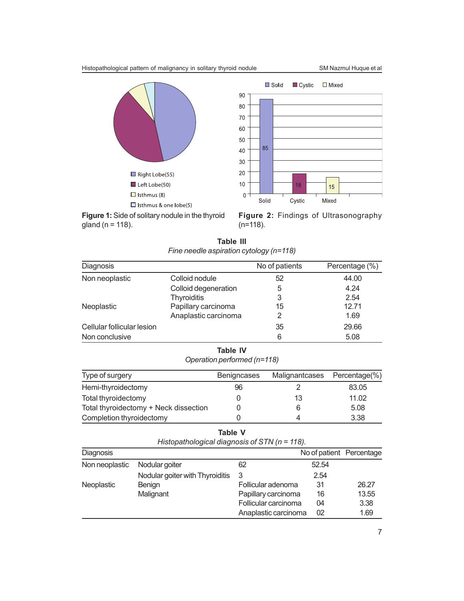



**Figure 1:** Side of solitary nodule in the thyroid gland ( $n = 118$ ).

**Figure 2:** Findings of Ultrasonography (n=118).

**Table III** *Fine needle aspiration cytology (n=118)*

| Diagnosis                  |                      | No of patients | Percentage (%) |
|----------------------------|----------------------|----------------|----------------|
| Non neoplastic             | Colloid nodule       | 52             | 44.00          |
|                            | Colloid degeneration | 5              | 4.24           |
|                            | <b>Thyroiditis</b>   | 3              | 2.54           |
| Neoplastic                 | Papillary carcinoma  | 15             | 12.71          |
|                            | Anaplastic carcinoma |                | 1.69           |
| Cellular follicular lesion |                      | 35             | 29.66          |
| Non conclusive             |                      | 6              | 5.08           |

# **Table IV**

*Operation performed (n=118)*

| Type of surgery                       | <b>Benigncases</b> | Malignantcases | Percentage(%) |
|---------------------------------------|--------------------|----------------|---------------|
| Hemi-thyroidectomy                    | 96                 |                | 83.05         |
| Total thyroidectomy                   |                    | 13             | 11.02         |
| Total thyroidectomy + Neck dissection |                    | 6              | 5.08          |
| Completion thyroidectomy              |                    |                | 3.38          |

| חו<br>ı<br>. . |
|----------------|
|----------------|

*Histopathological diagnosis of STN (n = 118).*

| Diagnosis      |                                 |                      | No of patient Percentage |       |
|----------------|---------------------------------|----------------------|--------------------------|-------|
| Non neoplastic | Nodular goiter                  | 62                   | 52.54                    |       |
|                | Nodular goiter with Thyroiditis | 3                    | 2.54                     |       |
| Neoplastic     | Benign                          | Follicular adenoma   | 31                       | 26.27 |
|                | Malignant                       | Papillary carcinoma  | 16                       | 13.55 |
|                |                                 | Follicular carcinoma | 04                       | 3.38  |
|                |                                 | Anaplastic carcinoma | 02                       | 1.69  |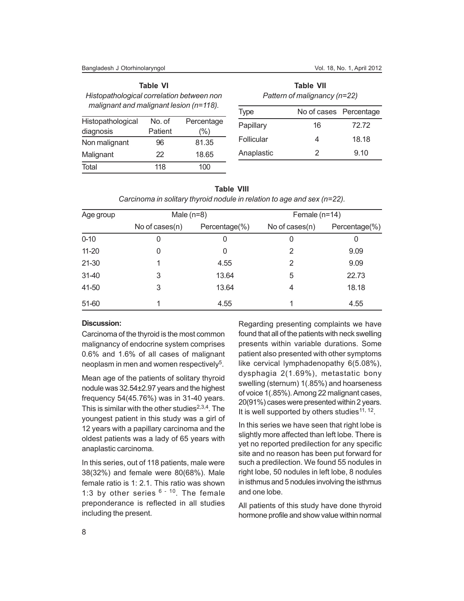|                                                                                      | <b>Table VI</b> |            |
|--------------------------------------------------------------------------------------|-----------------|------------|
| Histopathological correlation between non<br>malignant and malignant lesion (n=118). |                 |            |
| Histopathological                                                                    | No. of          | Percentage |
| diagnosis                                                                            | Patient         | (%)        |

Non malignant 96 81.35 Malignant 22 18.65 Total 118 100

**Table VII** *Pattern of malignancy (n=22)*

| <b>Type</b> | No of cases Percentage |       |  |
|-------------|------------------------|-------|--|
| Papillary   | 16                     | 72.72 |  |
| Follicular  | 4                      | 18.18 |  |
| Anaplastic  | 2                      | 9.10  |  |

|           |                   | <u>Carcinonia in Solitary thyroid hougle in relation to age and Sex (n-22).</u> |                 |               |
|-----------|-------------------|---------------------------------------------------------------------------------|-----------------|---------------|
| Age group | Male $(n=8)$      |                                                                                 | Female $(n=14)$ |               |
|           | No of cases $(n)$ | Percentage(%)                                                                   | No of cases(n)  | Percentage(%) |
| $0 - 10$  |                   | 0                                                                               | 0               | 0             |
| $11 - 20$ |                   | 0                                                                               | 2               | 9.09          |
| 21-30     |                   | 4.55                                                                            | 2               | 9.09          |
| $31 - 40$ | 3                 | 13.64                                                                           | 5               | 22.73         |
| 41-50     | 3                 | 13.64                                                                           | 4               | 18.18         |
| 51-60     |                   | 4.55                                                                            |                 | 4.55          |

| <b>Table VIII</b>                                                          |
|----------------------------------------------------------------------------|
| Carcinoma in solitary thyroid nodule in relation to age and sex $(n=22)$ . |

## **Discussion:**

Carcinoma of the thyroid is the most common malignancy of endocrine system comprises 0.6% and 1.6% of all cases of malignant neoplasm in men and women respectively<sup>5</sup>.

Mean age of the patients of solitary thyroid nodule was 32.54±2.97 years and the highest frequency 54(45.76%) was in 31-40 years. This is similar with the other studies $2,3,4$ . The youngest patient in this study was a girl of 12 years with a papillary carcinoma and the oldest patients was a lady of 65 years with anaplastic carcinoma.

In this series, out of 118 patients, male were 38(32%) and female were 80(68%). Male female ratio is 1: 2.1. This ratio was shown 1:3 by other series  $6 - 10$ . The female preponderance is reflected in all studies including the present.

Regarding presenting complaints we have found that all of the patients with neck swelling presents within variable durations. Some patient also presented with other symptoms like cervical lymphadenopathy 6(5.08%), dysphagia 2(1.69%), metastatic bony swelling (sternum) 1(.85%) and hoarseness of voice 1(.85%). Among 22 malignant cases, 20(91%) cases were presented within 2 years. It is well supported by others studies<sup>11, 12</sup>.

In this series we have seen that right lobe is slightly more affected than left lobe. There is yet no reported predilection for any specific site and no reason has been put forward for such a predilection. We found 55 nodules in right lobe, 50 nodules in left lobe, 8 nodules in isthmus and 5 nodules involving the isthmus and one lobe.

All patients of this study have done thyroid hormone profile and show value within normal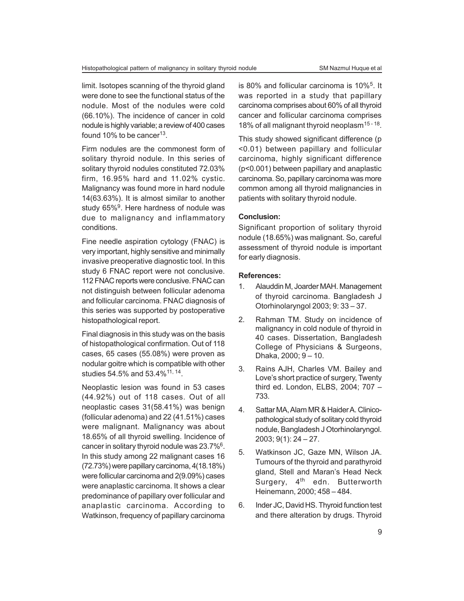limit. Isotopes scanning of the thyroid gland were done to see the functional status of the nodule. Most of the nodules were cold (66.10%). The incidence of cancer in cold nodule is highly variable; a review of 400 cases found 10% to be cancer<sup>13</sup>.

Firm nodules are the commonest form of solitary thyroid nodule. In this series of solitary thyroid nodules constituted 72.03% firm, 16.95% hard and 11.02% cystic. Malignancy was found more in hard nodule 14(63.63%). It is almost similar to another study 65%<sup>9</sup>. Here hardness of nodule was due to malignancy and inflammatory conditions.

Fine needle aspiration cytology (FNAC) is very important, highly sensitive and minimally invasive preoperative diagnostic tool. In this study 6 FNAC report were not conclusive. 112 FNAC reports were conclusive. FNAC can not distinguish between follicular adenoma and follicular carcinoma. FNAC diagnosis of this series was supported by postoperative histopathological report.

Final diagnosis in this study was on the basis of histopathological confirmation. Out of 118 cases, 65 cases (55.08%) were proven as nodular goitre which is compatible with other studies 54.5% and 53.4%<sup>11, 14</sup>.

Neoplastic lesion was found in 53 cases (44.92%) out of 118 cases. Out of all neoplastic cases 31(58.41%) was benign (follicular adenoma) and 22 (41.51%) cases were malignant. Malignancy was about 18.65% of all thyroid swelling. Incidence of cancer in solitary thyroid nodule was 23.7%<sup>6</sup>. In this study among 22 malignant cases 16 (72.73%) were papillary carcinoma, 4(18.18%) were follicular carcinoma and 2(9.09%) cases were anaplastic carcinoma. It shows a clear predominance of papillary over follicular and anaplastic carcinoma. According to Watkinson, frequency of papillary carcinoma

is 80% and follicular carcinoma is 10%<sup>5</sup>. It was reported in a study that papillary carcinoma comprises about 60% of all thyroid cancer and follicular carcinoma comprises 18% of all malignant thyroid neoplasm<sup>15-18</sup>.

This study showed significant difference (p <0.01) between papillary and follicular carcinoma, highly significant difference (p<0.001) between papillary and anaplastic carcinoma. So, papillary carcinoma was more common among all thyroid malignancies in patients with solitary thyroid nodule.

## **Conclusion:**

Significant proportion of solitary thyroid nodule (18.65%) was malignant. So, careful assessment of thyroid nodule is important for early diagnosis.

#### **References:**

- 1. Alauddin M, Joarder MAH. Management of thyroid carcinoma. Bangladesh J Otorhinolaryngol 2003; 9: 33 – 37.
- 2. Rahman TM. Study on incidence of malignancy in cold nodule of thyroid in 40 cases. Dissertation, Bangladesh College of Physicians & Surgeons, Dhaka, 2000; 9 – 10.
- 3. Rains AJH, Charles VM. Bailey and Love's short practice of surgery, Twenty third ed. London, ELBS, 2004; 707 – 733.
- 4. Sattar MA, Alam MR & Haider A. Clinicopathological study of solitary cold thyroid nodule, Bangladesh J Otorhinolaryngol. 2003; 9(1): 24 – 27.
- 5. Watkinson JC, Gaze MN, Wilson JA. Tumours of the thyroid and parathyroid gland, Stell and Maran's Head Neck Surgery, 4<sup>th</sup> edn. Butterworth Heinemann, 2000; 458 – 484.
- 6. Inder JC, David HS. Thyroid function test and there alteration by drugs. Thyroid